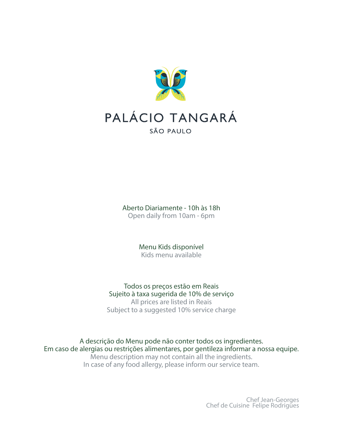

Aberto Diariamente - 10h às 18h Open daily from 10am - 6pm

> Menu Kids disponível Kids menu available

Todos os preços estão em Reais Sujeito à taxa sugerida de 10% de serviço All prices are listed in Reais Subject to a suggested 10% service charge

A descrição do Menu pode não conter todos os ingredientes. Em caso de alergias ou restrições alimentares, por gentileza informar a nossa equipe. Menu description may not contain all the ingredients. In case of any food allergy, please inform our service team.

Chef Jean-Georges Chef de Cuisine Felipe Rodrigues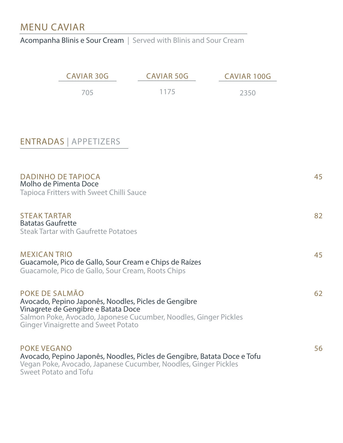### MENU CAVIAR

Acompanha Blinis e Sour Cream | Served with Blinis and Sour Cream

|                                                 | <b>CAVIAR 30G</b>                                                                                                                                                                                                               | <b>CAVIAR 50G</b> | <b>CAVIAR 100G</b> |    |
|-------------------------------------------------|---------------------------------------------------------------------------------------------------------------------------------------------------------------------------------------------------------------------------------|-------------------|--------------------|----|
|                                                 | 705                                                                                                                                                                                                                             | 1175              | 2350               |    |
|                                                 |                                                                                                                                                                                                                                 |                   |                    |    |
|                                                 | <b>ENTRADAS   APPETIZERS</b>                                                                                                                                                                                                    |                   |                    |    |
|                                                 | <b>DADINHO DE TAPIOCA</b><br>Molho de Pimenta Doce<br><b>Tapioca Fritters with Sweet Chilli Sauce</b>                                                                                                                           |                   |                    | 45 |
| <b>STEAK TARTAR</b><br><b>Batatas Gaufrette</b> | <b>Steak Tartar with Gaufrette Potatoes</b>                                                                                                                                                                                     |                   |                    | 82 |
| <b>MEXICAN TRIO</b>                             | Guacamole, Pico de Gallo, Sour Cream e Chips de Raízes<br>Guacamole, Pico de Gallo, Sour Cream, Roots Chips                                                                                                                     |                   |                    | 45 |
|                                                 | POKE DE SALMÃO<br>Avocado, Pepino Japonês, Noodles, Picles de Gengibre<br>Vinagrete de Gengibre e Batata Doce<br>Salmon Poke, Avocado, Japonese Cucumber, Noodles, Ginger Pickles<br><b>Ginger Vinaigrette and Sweet Potato</b> |                   |                    | 62 |
| <b>POKE VEGANO</b>                              | Avocado, Pepino Japonês, Noodles, Picles de Gengibre, Batata Doce e Tofu<br>Vegan Poke, Avocado, Japanese Cucumber, Noodles, Ginger Pickles<br><b>Sweet Potato and Tofu</b>                                                     |                   |                    | 56 |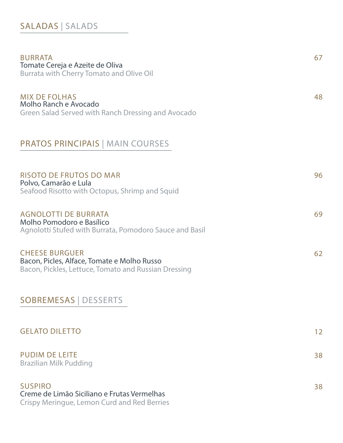#### SALADAS | SALADS

| <b>BURRATA</b><br>Tomate Cereja e Azeite de Oliva<br>Burrata with Cherry Tomato and Olive Oil                                | 67 |
|------------------------------------------------------------------------------------------------------------------------------|----|
| <b>MIX DE FOLHAS</b><br>Molho Ranch e Avocado<br>Green Salad Served with Ranch Dressing and Avocado                          | 48 |
| <b>PRATOS PRINCIPAIS   MAIN COURSES</b>                                                                                      |    |
| <b>RISOTO DE FRUTOS DO MAR</b><br>Polvo, Camarão e Lula<br>Seafood Risotto with Octopus, Shrimp and Squid                    | 96 |
| <b>AGNOLOTTI DE BURRATA</b><br>Molho Pomodoro e Basílico<br>Agnolotti Stufed with Burrata, Pomodoro Sauce and Basil          | 69 |
| <b>CHEESE BURGUER</b><br>Bacon, Picles, Alface, Tomate e Molho Russo<br>Bacon, Pickles, Lettuce, Tomato and Russian Dressing | 62 |
| <b>SOBREMESAS   DESSERTS</b>                                                                                                 |    |
| <b>GELATO DILETTO</b>                                                                                                        | 12 |
| <b>PUDIM DE LEITE</b><br><b>Brazilian Milk Pudding</b>                                                                       | 38 |
| <b>SUSPIRO</b><br>Creme de Limão Siciliano e Frutas Vermelhas                                                                | 38 |

Crispy Meringue, Lemon Curd and Red Berries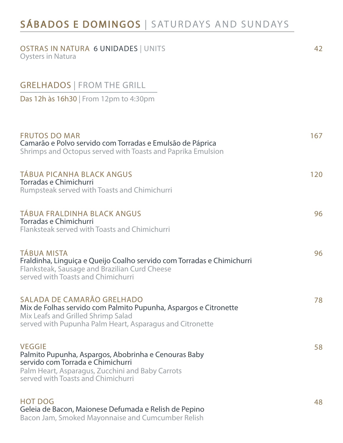## SÁBADOS E DOMINGOS | SATURDAYS AND SUNDAYS

| <b>OSTRAS IN NATURA 6 UNIDADES   UNITS</b><br><b>Oysters in Natura</b>                                                                                                                               | 42  |
|------------------------------------------------------------------------------------------------------------------------------------------------------------------------------------------------------|-----|
| <b>GRELHADOS   FROM THE GRILL</b>                                                                                                                                                                    |     |
| Das 12h às 16h30   From 12pm to 4:30pm                                                                                                                                                               |     |
| <b>FRUTOS DO MAR</b><br>Camarão e Polvo servido com Torradas e Emulsão de Páprica<br>Shrimps and Octopus served with Toasts and Paprika Emulsion                                                     | 167 |
| <b>TÁBUA PICANHA BLACK ANGUS</b><br>Torradas e Chimichurri<br>Rumpsteak served with Toasts and Chimichurri                                                                                           | 120 |
| <b>TÁBUA FRALDINHA BLACK ANGUS</b><br>Torradas e Chimichurri<br>Flanksteak served with Toasts and Chimichurri                                                                                        | 96  |
| <b>TÁBUA MISTA</b><br>Fraldinha, Linguiça e Queijo Coalho servido com Torradas e Chimichurri<br>Flanksteak, Sausage and Brazilian Curd Cheese<br>served with Toasts and Chimichurri                  | 96  |
| SALADA DE CAMARÃO GRELHADO<br>Mix de Folhas servido com Palmito Pupunha, Aspargos e Citronette<br>Mix Leafs and Grilled Shrimp Salad<br>served with Pupunha Palm Heart, Asparagus and Citronette     | 78  |
| <b>VEGGIE</b><br>Palmito Pupunha, Aspargos, Abobrinha e Cenouras Baby<br>servido com Torrada e Chimichurri<br>Palm Heart, Asparagus, Zucchini and Baby Carrots<br>served with Toasts and Chimichurri | 58  |
| <b>HOT DOG</b><br>Geleia de Bacon, Maionese Defumada e Relish de Pepino<br>Bacon Jam, Smoked Mayonnaise and Cumcumber Relish                                                                         | 48  |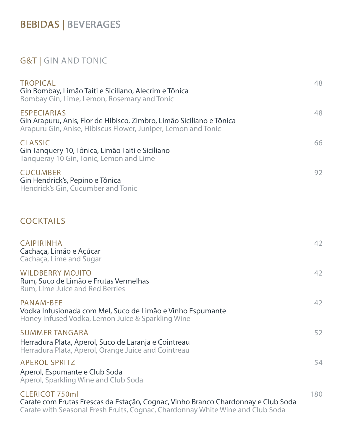# BEBIDAS | BEVERAGES

#### G&T | GIN AND TONIC

| <b>TROPICAL</b><br>Gin Bombay, Limão Taiti e Siciliano, Alecrim e Tônica<br>Bombay Gin, Lime, Lemon, Rosemary and Tonic                                                                      | 48  |
|----------------------------------------------------------------------------------------------------------------------------------------------------------------------------------------------|-----|
| <b>ESPECIARIAS</b><br>Gin Arapuru, Anis, Flor de Hibisco, Zimbro, Limão Siciliano e Tônica<br>Arapuru Gin, Anise, Hibiscus Flower, Juniper, Lemon and Tonic                                  | 48  |
| <b>CLASSIC</b><br>Gin Tanquery 10, Tônica, Limão Taiti e Siciliano<br>Tangueray 10 Gin, Tonic, Lemon and Lime                                                                                | 66  |
| <b>CUCUMBER</b><br>Gin Hendrick's, Pepino e Tônica<br>Hendrick's Gin, Cucumber and Tonic                                                                                                     | 92  |
| <b>COCKTAILS</b>                                                                                                                                                                             |     |
| <b>CAIPIRINHA</b><br>Cachaça, Limão e Açúcar<br>Cachaça, Lime and Sugar                                                                                                                      | 42  |
| <b>WILDBERRY MOJITO</b><br>Rum, Suco de Limão e Frutas Vermelhas<br><b>Rum, Lime Juice and Red Berries</b>                                                                                   | 42  |
| <b>PANAM-BEE</b><br>Vodka Infusionada com Mel, Suco de Limão e Vinho Espumante<br>Honey Infused Vodka, Lemon Juice & Sparkling Wine                                                          | 42  |
| <b>SUMMER TANGARÁ</b><br>Herradura Plata, Aperol, Suco de Laranja e Cointreau<br>Herradura Plata, Aperol, Orange Juice and Cointreau                                                         | 52  |
| <b>APEROL SPRITZ</b><br>Aperol, Espumante e Club Soda<br>Aperol, Sparkling Wine and Club Soda                                                                                                | 54  |
| <b>CLERICOT 750ml</b><br>Carafe com Frutas Frescas da Estação, Cognac, Vinho Branco Chardonnay e Club Soda<br>Carafe with Seasonal Fresh Fruits, Cognac, Chardonnay White Wine and Club Soda | 180 |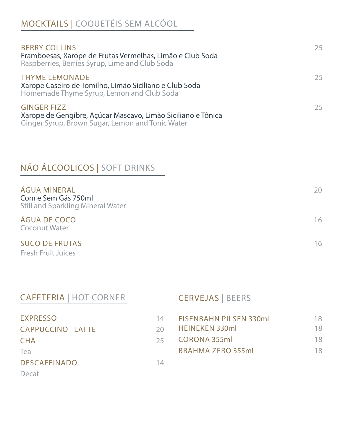# MOCKTAILS | COQUETÉIS SEM ALCÓOL

| <b>BERRY COLLINS</b><br>Framboesas, Xarope de Frutas Vermelhas, Limão e Club Soda<br>Raspberries, Berries Syrup, Lime and Club Soda    | 25. |
|----------------------------------------------------------------------------------------------------------------------------------------|-----|
| <b>THYME LEMONADE</b><br>Xarope Caseiro de Tomilho, Limão Siciliano e Club Soda<br>Homemade Thyme Syrup, Lemon and Club Soda           | 25. |
| <b>GINGER FIZZ</b><br>Xarope de Gengibre, Açúcar Mascavo, Limão Siciliano e Tônica<br>Ginger Syrup, Brown Sugar, Lemon and Tonic Water | 25  |

## NÃO ÁLCOOLICOS | SOFT DRINKS

| ÁGUA MINERAL<br>Com e Sem Gás 750ml<br><b>Still and Sparkling Mineral Water</b> | 20 |
|---------------------------------------------------------------------------------|----|
| <b>ÁGUA DE COCO</b><br><b>Coconut Water</b>                                     | 16 |
| <b>SUCO DE FRUTAS</b>                                                           | 16 |

Fresh Fruit Juices

Decaf

| <b>CAFETERIA   HOT CORNER</b> |    | <b>CERVEJAS   BEERS</b>       |     |
|-------------------------------|----|-------------------------------|-----|
| <b>EXPRESSO</b>               | 14 | <b>EISENBAHN PILSEN 330ml</b> | 18. |
| <b>CAPPUCCINO   LATTE</b>     | 20 | <b>HEINEKEN 330ml</b>         | 18  |
| <b>CHÁ</b>                    | つら | <b>CORONA 355ml</b>           | 18  |
| Tea                           |    | <b>BRAHMA ZERO 355ml</b>      | 18  |
| <b>DESCAFEINADO</b>           | 14 |                               |     |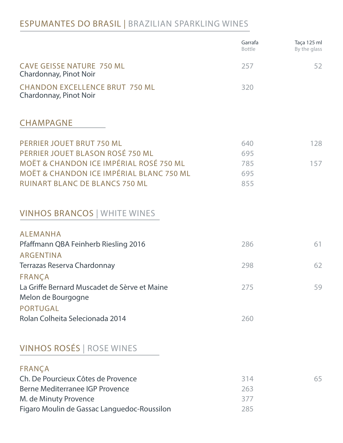#### ESPUMANTES DO BRASIL | BRAZILIAN SPARKLING WINES

|                                                                                                           | Garrafa<br><b>Bottle</b> | Taça 125 ml<br>By the glass |
|-----------------------------------------------------------------------------------------------------------|--------------------------|-----------------------------|
| <b>CAVE GEISSE NATURE 750 ML</b><br>Chardonnay, Pinot Noir                                                | 257                      | 52                          |
| <b>CHANDON EXCELLENCE BRUT 750 ML</b><br>Chardonnay, Pinot Noir                                           | 320                      |                             |
| <b>CHAMPAGNE</b>                                                                                          |                          |                             |
| PERRIER JOUET BRUT 750 ML<br>PERRIER JOUET BLASON ROSÉ 750 ML                                             | 640<br>695               | 128                         |
| <b>MOËT &amp; CHANDON ICE IMPÉRIAL ROSÉ 750 ML</b><br><b>MOËT &amp; CHANDON ICE IMPÉRIAL BLANC 750 ML</b> | 785<br>695               | 157                         |
| <b>RUINART BLANC DE BLANCS 750 ML</b>                                                                     | 855                      |                             |
| <b>VINHOS BRANCOS   WHITE WINES</b>                                                                       |                          |                             |
| <b>ALEMANHA</b>                                                                                           | 286                      | 61                          |
| Pfaffmann QBA Feinherb Riesling 2016<br><b>ARGENTINA</b>                                                  |                          |                             |
| Terrazas Reserva Chardonnay                                                                               | 298                      | 62                          |
| FRANÇA<br>La Griffe Bernard Muscadet de Sèrve et Maine<br>Melon de Bourgogne                              | 275                      | 59                          |
| <b>PORTUGAL</b><br>Rolan Colheita Selecionada 2014                                                        | 260                      |                             |
| <b>VINHOS ROSÉS   ROSE WINES</b>                                                                          |                          |                             |
| FRANÇA                                                                                                    |                          |                             |
| Ch. De Pourcieux Côtes de Provence                                                                        | 314                      | 65                          |
| <b>Berne Mediterranee IGP Provence</b>                                                                    | 263                      |                             |
| M. de Minuty Provence<br>Figaro Moulin de Gassac Languedoc-Roussilon                                      | 377<br>285               |                             |